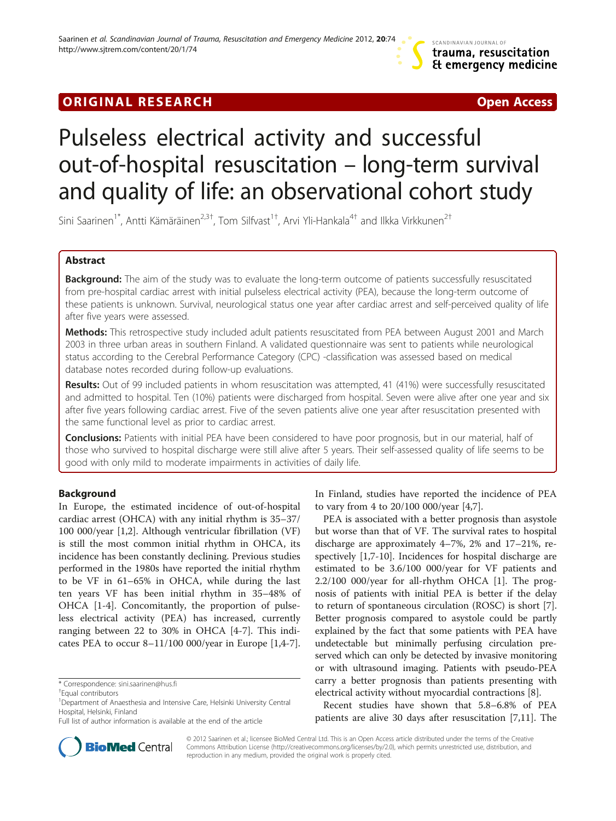# **ORIGINAL RESEARCH CONSUMING A RESEARCH CONSUMING A RESEARCH**

# Pulseless electrical activity and successful out-of-hospital resuscitation – long-term survival and quality of life: an observational cohort study

Sini Saarinen<sup>1\*</sup>, Antti Kämäräinen<sup>2,3†</sup>, Tom Silfvast<sup>1†</sup>, Arvi Yli-Hankala<sup>4†</sup> and Ilkka Virkkunen<sup>2†</sup>

# Abstract

Background: The aim of the study was to evaluate the long-term outcome of patients successfully resuscitated from pre-hospital cardiac arrest with initial pulseless electrical activity (PEA), because the long-term outcome of these patients is unknown. Survival, neurological status one year after cardiac arrest and self-perceived quality of life after five years were assessed.

Methods: This retrospective study included adult patients resuscitated from PEA between August 2001 and March 2003 in three urban areas in southern Finland. A validated questionnaire was sent to patients while neurological status according to the Cerebral Performance Category (CPC) -classification was assessed based on medical database notes recorded during follow-up evaluations.

Results: Out of 99 included patients in whom resuscitation was attempted, 41 (41%) were successfully resuscitated and admitted to hospital. Ten (10%) patients were discharged from hospital. Seven were alive after one year and six after five years following cardiac arrest. Five of the seven patients alive one year after resuscitation presented with the same functional level as prior to cardiac arrest.

Conclusions: Patients with initial PEA have been considered to have poor prognosis, but in our material, half of those who survived to hospital discharge were still alive after 5 years. Their self-assessed quality of life seems to be good with only mild to moderate impairments in activities of daily life.

# Background

In Europe, the estimated incidence of out-of-hospital cardiac arrest (OHCA) with any initial rhythm is 35–37/ 100 000/year [\[1,2](#page-4-0)]. Although ventricular fibrillation (VF) is still the most common initial rhythm in OHCA, its incidence has been constantly declining. Previous studies performed in the 1980s have reported the initial rhythm to be VF in 61–65% in OHCA, while during the last ten years VF has been initial rhythm in 35–48% of OHCA [[1-4](#page-4-0)]. Concomitantly, the proportion of pulseless electrical activity (PEA) has increased, currently ranging between 22 to 30% in OHCA [[4-7](#page-4-0)]. This indicates PEA to occur 8–11/100 000/year in Europe [[1,4-7](#page-4-0)].

In Finland, studies have reported the incidence of PEA to vary from 4 to 20/100 000/year [\[4,7](#page-4-0)].

PEA is associated with a better prognosis than asystole but worse than that of VF. The survival rates to hospital discharge are approximately 4–7%, 2% and 17–21%, respectively [\[1,7](#page-4-0)-[10](#page-4-0)]. Incidences for hospital discharge are estimated to be 3.6/100 000/year for VF patients and 2.2/100 000/year for all-rhythm OHCA [[1](#page-4-0)]. The prognosis of patients with initial PEA is better if the delay to return of spontaneous circulation (ROSC) is short [\[7](#page-4-0)]. Better prognosis compared to asystole could be partly explained by the fact that some patients with PEA have undetectable but minimally perfusing circulation preserved which can only be detected by invasive monitoring or with ultrasound imaging. Patients with pseudo-PEA carry a better prognosis than patients presenting with electrical activity without myocardial contractions [\[8](#page-4-0)].

Recent studies have shown that 5.8–6.8% of PEA patients are alive 30 days after resuscitation [\[7,11](#page-4-0)]. The



© 2012 Saarinen et al.; licensee BioMed Central Ltd. This is an Open Access article distributed under the terms of the Creative Commons Attribution License [\(http://creativecommons.org/licenses/by/2.0\)](http://creativecommons.org/licenses/by/2.0), which permits unrestricted use, distribution, and reproduction in any medium, provided the original work is properly cited.

<sup>\*</sup> Correspondence: [sini.saarinen@hus.fi](mailto:sini.saarinen@hus.fi) †

Equal contributors

<sup>&</sup>lt;sup>1</sup>Department of Anaesthesia and Intensive Care, Helsinki University Central Hospital, Helsinki, Finland

Full list of author information is available at the end of the article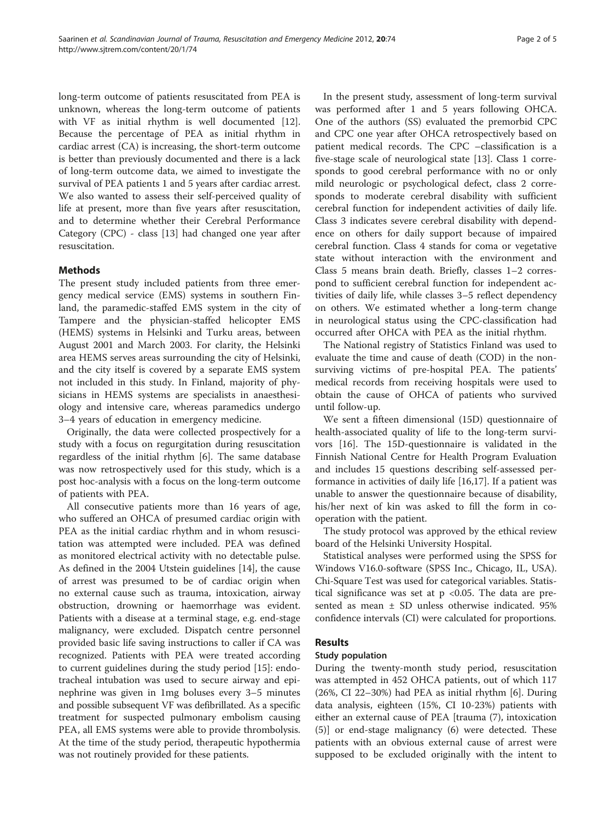long-term outcome of patients resuscitated from PEA is unknown, whereas the long-term outcome of patients with VF as initial rhythm is well documented [\[12](#page-4-0)]. Because the percentage of PEA as initial rhythm in cardiac arrest (CA) is increasing, the short-term outcome is better than previously documented and there is a lack of long-term outcome data, we aimed to investigate the survival of PEA patients 1 and 5 years after cardiac arrest. We also wanted to assess their self-perceived quality of life at present, more than five years after resuscitation, and to determine whether their Cerebral Performance Category (CPC) - class [\[13](#page-4-0)] had changed one year after resuscitation.

# **Methods**

The present study included patients from three emergency medical service (EMS) systems in southern Finland, the paramedic-staffed EMS system in the city of Tampere and the physician-staffed helicopter EMS (HEMS) systems in Helsinki and Turku areas, between August 2001 and March 2003. For clarity, the Helsinki area HEMS serves areas surrounding the city of Helsinki, and the city itself is covered by a separate EMS system not included in this study. In Finland, majority of physicians in HEMS systems are specialists in anaesthesiology and intensive care, whereas paramedics undergo 3–4 years of education in emergency medicine.

Originally, the data were collected prospectively for a study with a focus on regurgitation during resuscitation regardless of the initial rhythm [[6\]](#page-4-0). The same database was now retrospectively used for this study, which is a post hoc-analysis with a focus on the long-term outcome of patients with PEA.

All consecutive patients more than 16 years of age, who suffered an OHCA of presumed cardiac origin with PEA as the initial cardiac rhythm and in whom resuscitation was attempted were included. PEA was defined as monitored electrical activity with no detectable pulse. As defined in the 2004 Utstein guidelines [[14\]](#page-4-0), the cause of arrest was presumed to be of cardiac origin when no external cause such as trauma, intoxication, airway obstruction, drowning or haemorrhage was evident. Patients with a disease at a terminal stage, e.g. end-stage malignancy, were excluded. Dispatch centre personnel provided basic life saving instructions to caller if CA was recognized. Patients with PEA were treated according to current guidelines during the study period [[15](#page-4-0)]: endotracheal intubation was used to secure airway and epinephrine was given in 1mg boluses every 3–5 minutes and possible subsequent VF was defibrillated. As a specific treatment for suspected pulmonary embolism causing PEA, all EMS systems were able to provide thrombolysis. At the time of the study period, therapeutic hypothermia was not routinely provided for these patients.

In the present study, assessment of long-term survival was performed after 1 and 5 years following OHCA. One of the authors (SS) evaluated the premorbid CPC and CPC one year after OHCA retrospectively based on patient medical records. The CPC –classification is a five-stage scale of neurological state [\[13](#page-4-0)]. Class 1 corresponds to good cerebral performance with no or only mild neurologic or psychological defect, class 2 corresponds to moderate cerebral disability with sufficient cerebral function for independent activities of daily life. Class 3 indicates severe cerebral disability with dependence on others for daily support because of impaired cerebral function. Class 4 stands for coma or vegetative state without interaction with the environment and Class 5 means brain death. Briefly, classes 1–2 correspond to sufficient cerebral function for independent activities of daily life, while classes 3–5 reflect dependency on others. We estimated whether a long-term change in neurological status using the CPC-classification had occurred after OHCA with PEA as the initial rhythm.

The National registry of Statistics Finland was used to evaluate the time and cause of death (COD) in the nonsurviving victims of pre-hospital PEA. The patients' medical records from receiving hospitals were used to obtain the cause of OHCA of patients who survived until follow-up.

We sent a fifteen dimensional (15D) questionnaire of health-associated quality of life to the long-term survivors [\[16\]](#page-4-0). The 15D-questionnaire is validated in the Finnish National Centre for Health Program Evaluation and includes 15 questions describing self-assessed performance in activities of daily life [\[16,17](#page-4-0)]. If a patient was unable to answer the questionnaire because of disability, his/her next of kin was asked to fill the form in cooperation with the patient.

The study protocol was approved by the ethical review board of the Helsinki University Hospital.

Statistical analyses were performed using the SPSS for Windows V16.0-software (SPSS Inc., Chicago, IL, USA). Chi-Square Test was used for categorical variables. Statistical significance was set at  $p \lt 0.05$ . The data are presented as mean ± SD unless otherwise indicated. 95% confidence intervals (CI) were calculated for proportions.

# Results

# Study population

During the twenty-month study period, resuscitation was attempted in 452 OHCA patients, out of which 117 (26%, CI 22–30%) had PEA as initial rhythm [\[6](#page-4-0)]. During data analysis, eighteen (15%, CI 10-23%) patients with either an external cause of PEA [trauma (7), intoxication (5)] or end-stage malignancy (6) were detected. These patients with an obvious external cause of arrest were supposed to be excluded originally with the intent to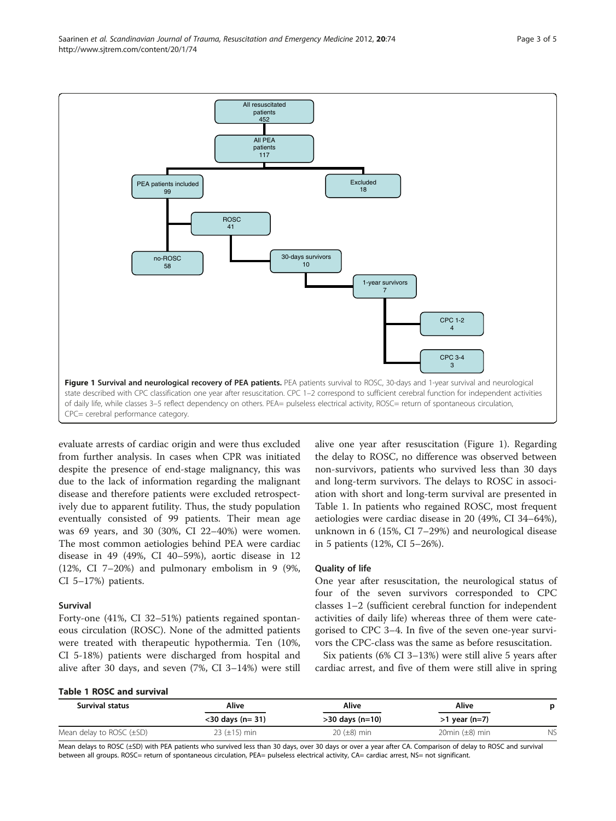

evaluate arrests of cardiac origin and were thus excluded from further analysis. In cases when CPR was initiated despite the presence of end-stage malignancy, this was due to the lack of information regarding the malignant disease and therefore patients were excluded retrospectively due to apparent futility. Thus, the study population eventually consisted of 99 patients. Their mean age was 69 years, and 30 (30%, CI 22–40%) were women. The most common aetiologies behind PEA were cardiac disease in 49 (49%, CI 40–59%), aortic disease in 12 (12%, CI 7–20%) and pulmonary embolism in 9 (9%, CI 5–17%) patients.

#### Survival

Forty-one (41%, CI 32–51%) patients regained spontaneous circulation (ROSC). None of the admitted patients were treated with therapeutic hypothermia. Ten (10%, CI 5-18%) patients were discharged from hospital and alive after 30 days, and seven (7%, CI 3–14%) were still alive one year after resuscitation (Figure 1). Regarding the delay to ROSC, no difference was observed between non-survivors, patients who survived less than 30 days and long-term survivors. The delays to ROSC in association with short and long-term survival are presented in Table 1. In patients who regained ROSC, most frequent aetiologies were cardiac disease in 20 (49%, CI 34–64%), unknown in 6 (15%, CI 7–29%) and neurological disease in 5 patients (12%, CI 5–26%).

# Quality of life

One year after resuscitation, the neurological status of four of the seven survivors corresponded to CPC classes 1–2 (sufficient cerebral function for independent activities of daily life) whereas three of them were categorised to CPC 3–4. In five of the seven one-year survivors the CPC-class was the same as before resuscitation.

Six patients (6% CI 3–13%) were still alive 5 years after cardiac arrest, and five of them were still alive in spring

#### Table 1 ROSC and survival

| <b>Survival status</b> | Alive<br>$<$ 30 days (n= 31) | Alive<br>$>30$ days (n=10) | Alive<br>$>1$ year (n=7) | p |
|------------------------|------------------------------|----------------------------|--------------------------|---|
|                        |                              |                            |                          |   |

Mean delays to ROSC (±SD) with PEA patients who survived less than 30 days, over 30 days or over a year after CA. Comparison of delay to ROSC and survival between all groups. ROSC= return of spontaneous circulation, PEA= pulseless electrical activity, CA= cardiac arrest, NS= not significant.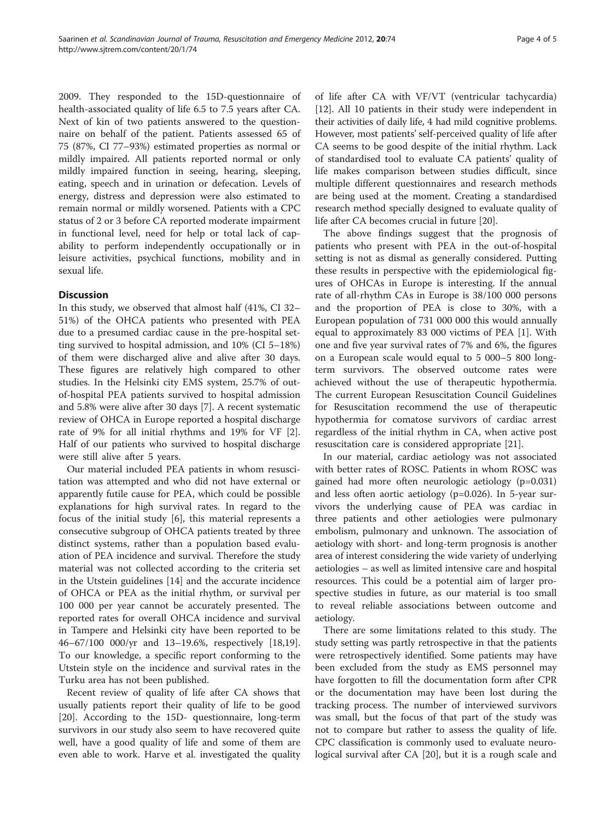2009. They responded to the 15D-questionnaire of health-associated quality of life 6.5 to 7.5 years after CA. Next of kin of two patients answered to the questionnaire on behalf of the patient. Patients assessed 65 of 75 (87%, CI 77–93%) estimated properties as normal or mildly impaired. All patients reported normal or only mildly impaired function in seeing, hearing, sleeping, eating, speech and in urination or defecation. Levels of energy, distress and depression were also estimated to remain normal or mildly worsened. Patients with a CPC status of 2 or 3 before CA reported moderate impairment in functional level, need for help or total lack of capability to perform independently occupationally or in leisure activities, psychical functions, mobility and in sexual life.

# **Discussion**

In this study, we observed that almost half (41%, CI 32– 51%) of the OHCA patients who presented with PEA due to a presumed cardiac cause in the pre-hospital setting survived to hospital admission, and 10% (CI 5–18%) of them were discharged alive and alive after 30 days. These figures are relatively high compared to other studies. In the Helsinki city EMS system, 25.7% of outof-hospital PEA patients survived to hospital admission and 5.8% were alive after 30 days [\[7\]](#page-4-0). A recent systematic review of OHCA in Europe reported a hospital discharge rate of 9% for all initial rhythms and 19% for VF [\[2](#page-4-0)]. Half of our patients who survived to hospital discharge were still alive after 5 years.

Our material included PEA patients in whom resuscitation was attempted and who did not have external or apparently futile cause for PEA, which could be possible explanations for high survival rates. In regard to the focus of the initial study [[6\]](#page-4-0), this material represents a consecutive subgroup of OHCA patients treated by three distinct systems, rather than a population based evaluation of PEA incidence and survival. Therefore the study material was not collected according to the criteria set in the Utstein guidelines [\[14\]](#page-4-0) and the accurate incidence of OHCA or PEA as the initial rhythm, or survival per 100 000 per year cannot be accurately presented. The reported rates for overall OHCA incidence and survival in Tampere and Helsinki city have been reported to be 46–67/100 000/yr and 13–19.6%, respectively [\[18,19](#page-4-0)]. To our knowledge, a specific report conforming to the Utstein style on the incidence and survival rates in the Turku area has not been published.

Recent review of quality of life after CA shows that usually patients report their quality of life to be good [[20\]](#page-4-0). According to the 15D- questionnaire, long-term survivors in our study also seem to have recovered quite well, have a good quality of life and some of them are even able to work. Harve et al. investigated the quality

of life after CA with VF/VT (ventricular tachycardia) [[12\]](#page-4-0). All 10 patients in their study were independent in their activities of daily life, 4 had mild cognitive problems. However, most patients' self-perceived quality of life after CA seems to be good despite of the initial rhythm. Lack of standardised tool to evaluate CA patients' quality of life makes comparison between studies difficult, since multiple different questionnaires and research methods are being used at the moment. Creating a standardised research method specially designed to evaluate quality of life after CA becomes crucial in future [\[20](#page-4-0)].

The above findings suggest that the prognosis of patients who present with PEA in the out-of-hospital setting is not as dismal as generally considered. Putting these results in perspective with the epidemiological figures of OHCAs in Europe is interesting. If the annual rate of all-rhythm CAs in Europe is 38/100 000 persons and the proportion of PEA is close to 30%, with a European population of 731 000 000 this would annually equal to approximately 83 000 victims of PEA [[1\]](#page-4-0). With one and five year survival rates of 7% and 6%, the figures on a European scale would equal to 5 000–5 800 longterm survivors. The observed outcome rates were achieved without the use of therapeutic hypothermia. The current European Resuscitation Council Guidelines for Resuscitation recommend the use of therapeutic hypothermia for comatose survivors of cardiac arrest regardless of the initial rhythm in CA, when active post resuscitation care is considered appropriate [\[21](#page-4-0)].

In our material, cardiac aetiology was not associated with better rates of ROSC. Patients in whom ROSC was gained had more often neurologic aetiology (p=0.031) and less often aortic aetiology (p=0.026). In 5-year survivors the underlying cause of PEA was cardiac in three patients and other aetiologies were pulmonary embolism, pulmonary and unknown. The association of aetiology with short- and long-term prognosis is another area of interest considering the wide variety of underlying aetiologies – as well as limited intensive care and hospital resources. This could be a potential aim of larger prospective studies in future, as our material is too small to reveal reliable associations between outcome and aetiology.

There are some limitations related to this study. The study setting was partly retrospective in that the patients were retrospectively identified. Some patients may have been excluded from the study as EMS personnel may have forgotten to fill the documentation form after CPR or the documentation may have been lost during the tracking process. The number of interviewed survivors was small, but the focus of that part of the study was not to compare but rather to assess the quality of life. CPC classification is commonly used to evaluate neurological survival after CA [\[20](#page-4-0)], but it is a rough scale and